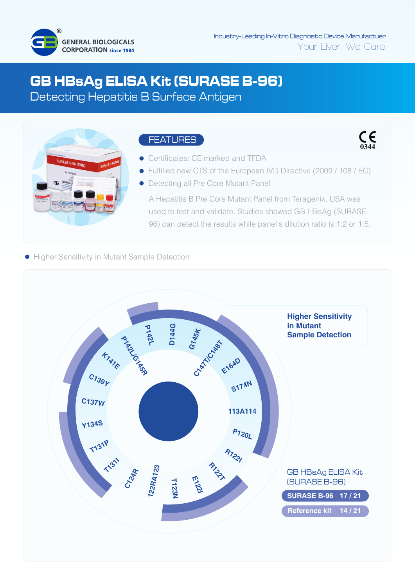

 $\mathsf{C}_{\mathsf{0344}}$ 

# **GB HBsAg ELISA Kit (SURASE B-96)**

Detecting Hepatitis B Surface Antigen



## FEATURES

- Certificates: CE marked and TFDA
- Fulfilled new CTS of the European IVD Directive (2009 / 108 / EC)
- Detecting all Pre Core Mutant Panel

A Hepatitis B Pre Core Mutant Panel from Teragenix, USA was used to test and validate. Studies showed GB HBsAg (SURASE-96) can detect the results while panel's dilution ratio is 1:2 or 1:5.

**• Higher Sensitivity in Mutant Sample Detection**